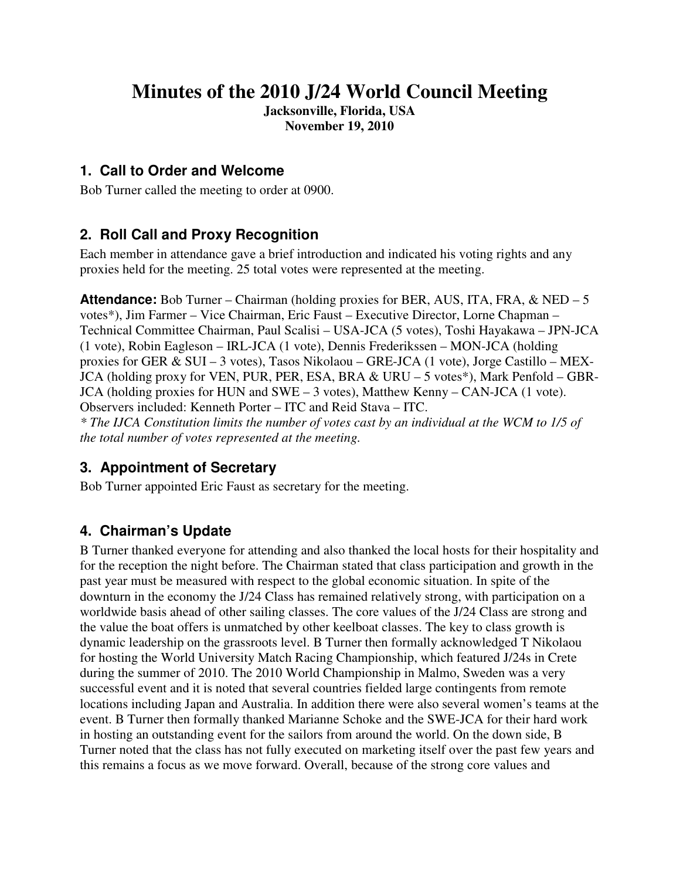# **Minutes of the 2010 J/24 World Council Meeting**

**Jacksonville, Florida, USA November 19, 2010** 

### **1. Call to Order and Welcome**

Bob Turner called the meeting to order at 0900.

### **2. Roll Call and Proxy Recognition**

Each member in attendance gave a brief introduction and indicated his voting rights and any proxies held for the meeting. 25 total votes were represented at the meeting.

**Attendance:** Bob Turner – Chairman (holding proxies for BER, AUS, ITA, FRA,  $\&$  NED – 5 votes\*), Jim Farmer – Vice Chairman, Eric Faust – Executive Director, Lorne Chapman – Technical Committee Chairman, Paul Scalisi – USA-JCA (5 votes), Toshi Hayakawa – JPN-JCA (1 vote), Robin Eagleson – IRL-JCA (1 vote), Dennis Frederikssen – MON-JCA (holding proxies for GER & SUI – 3 votes), Tasos Nikolaou – GRE-JCA (1 vote), Jorge Castillo – MEX-JCA (holding proxy for VEN, PUR, PER, ESA, BRA & URU – 5 votes\*), Mark Penfold – GBR-JCA (holding proxies for HUN and SWE – 3 votes), Matthew Kenny – CAN-JCA (1 vote). Observers included: Kenneth Porter – ITC and Reid Stava – ITC. *\* The IJCA Constitution limits the number of votes cast by an individual at the WCM to 1/5 of the total number of votes represented at the meeting.* 

# **3. Appointment of Secretary**

Bob Turner appointed Eric Faust as secretary for the meeting.

# **4. Chairman's Update**

B Turner thanked everyone for attending and also thanked the local hosts for their hospitality and for the reception the night before. The Chairman stated that class participation and growth in the past year must be measured with respect to the global economic situation. In spite of the downturn in the economy the J/24 Class has remained relatively strong, with participation on a worldwide basis ahead of other sailing classes. The core values of the J/24 Class are strong and the value the boat offers is unmatched by other keelboat classes. The key to class growth is dynamic leadership on the grassroots level. B Turner then formally acknowledged T Nikolaou for hosting the World University Match Racing Championship, which featured J/24s in Crete during the summer of 2010. The 2010 World Championship in Malmo, Sweden was a very successful event and it is noted that several countries fielded large contingents from remote locations including Japan and Australia. In addition there were also several women's teams at the event. B Turner then formally thanked Marianne Schoke and the SWE-JCA for their hard work in hosting an outstanding event for the sailors from around the world. On the down side, B Turner noted that the class has not fully executed on marketing itself over the past few years and this remains a focus as we move forward. Overall, because of the strong core values and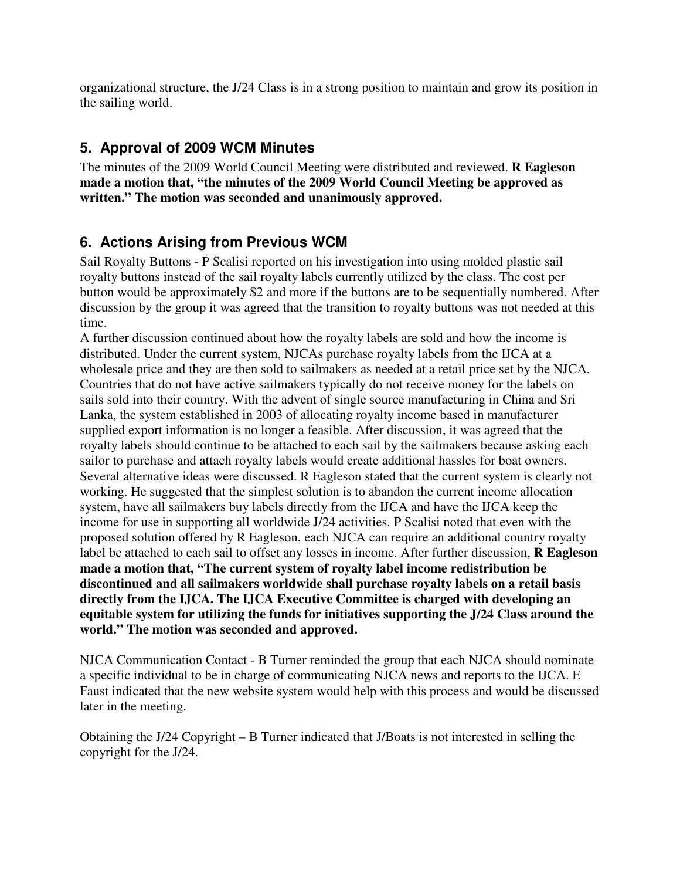organizational structure, the J/24 Class is in a strong position to maintain and grow its position in the sailing world.

# **5. Approval of 2009 WCM Minutes**

The minutes of the 2009 World Council Meeting were distributed and reviewed. **R Eagleson made a motion that, "the minutes of the 2009 World Council Meeting be approved as written." The motion was seconded and unanimously approved.** 

# **6. Actions Arising from Previous WCM**

Sail Royalty Buttons - P Scalisi reported on his investigation into using molded plastic sail royalty buttons instead of the sail royalty labels currently utilized by the class. The cost per button would be approximately \$2 and more if the buttons are to be sequentially numbered. After discussion by the group it was agreed that the transition to royalty buttons was not needed at this time.

A further discussion continued about how the royalty labels are sold and how the income is distributed. Under the current system, NJCAs purchase royalty labels from the IJCA at a wholesale price and they are then sold to sailmakers as needed at a retail price set by the NJCA. Countries that do not have active sailmakers typically do not receive money for the labels on sails sold into their country. With the advent of single source manufacturing in China and Sri Lanka, the system established in 2003 of allocating royalty income based in manufacturer supplied export information is no longer a feasible. After discussion, it was agreed that the royalty labels should continue to be attached to each sail by the sailmakers because asking each sailor to purchase and attach royalty labels would create additional hassles for boat owners. Several alternative ideas were discussed. R Eagleson stated that the current system is clearly not working. He suggested that the simplest solution is to abandon the current income allocation system, have all sailmakers buy labels directly from the IJCA and have the IJCA keep the income for use in supporting all worldwide J/24 activities. P Scalisi noted that even with the proposed solution offered by R Eagleson, each NJCA can require an additional country royalty label be attached to each sail to offset any losses in income. After further discussion, **R Eagleson made a motion that, "The current system of royalty label income redistribution be discontinued and all sailmakers worldwide shall purchase royalty labels on a retail basis directly from the IJCA. The IJCA Executive Committee is charged with developing an equitable system for utilizing the funds for initiatives supporting the J/24 Class around the world." The motion was seconded and approved.** 

NJCA Communication Contact - B Turner reminded the group that each NJCA should nominate a specific individual to be in charge of communicating NJCA news and reports to the IJCA. E Faust indicated that the new website system would help with this process and would be discussed later in the meeting.

Obtaining the J/24 Copyright – B Turner indicated that J/Boats is not interested in selling the copyright for the J/24.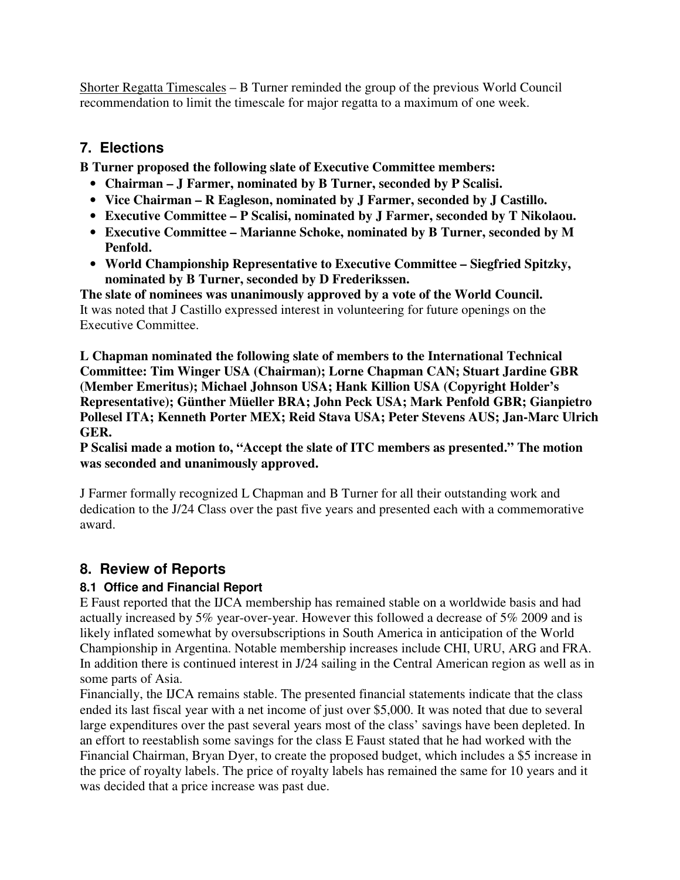Shorter Regatta Timescales – B Turner reminded the group of the previous World Council recommendation to limit the timescale for major regatta to a maximum of one week.

### **7. Elections**

**B Turner proposed the following slate of Executive Committee members:** 

- **Chairman J Farmer, nominated by B Turner, seconded by P Scalisi.**
- **Vice Chairman R Eagleson, nominated by J Farmer, seconded by J Castillo.**
- **Executive Committee P Scalisi, nominated by J Farmer, seconded by T Nikolaou.**
- **Executive Committee Marianne Schoke, nominated by B Turner, seconded by M Penfold.**
- **World Championship Representative to Executive Committee Siegfried Spitzky, nominated by B Turner, seconded by D Frederikssen.**

**The slate of nominees was unanimously approved by a vote of the World Council.**  It was noted that J Castillo expressed interest in volunteering for future openings on the Executive Committee.

**L Chapman nominated the following slate of members to the International Technical Committee: Tim Winger USA (Chairman); Lorne Chapman CAN; Stuart Jardine GBR (Member Emeritus); Michael Johnson USA; Hank Killion USA (Copyright Holder's Representative); Günther Müeller BRA; John Peck USA; Mark Penfold GBR; Gianpietro Pollesel ITA; Kenneth Porter MEX; Reid Stava USA; Peter Stevens AUS; Jan-Marc Ulrich GER.** 

**P Scalisi made a motion to, "Accept the slate of ITC members as presented." The motion was seconded and unanimously approved.** 

J Farmer formally recognized L Chapman and B Turner for all their outstanding work and dedication to the J/24 Class over the past five years and presented each with a commemorative award.

# **8. Review of Reports**

### **8.1 Office and Financial Report**

E Faust reported that the IJCA membership has remained stable on a worldwide basis and had actually increased by 5% year-over-year. However this followed a decrease of 5% 2009 and is likely inflated somewhat by oversubscriptions in South America in anticipation of the World Championship in Argentina. Notable membership increases include CHI, URU, ARG and FRA. In addition there is continued interest in J/24 sailing in the Central American region as well as in some parts of Asia.

Financially, the IJCA remains stable. The presented financial statements indicate that the class ended its last fiscal year with a net income of just over \$5,000. It was noted that due to several large expenditures over the past several years most of the class' savings have been depleted. In an effort to reestablish some savings for the class E Faust stated that he had worked with the Financial Chairman, Bryan Dyer, to create the proposed budget, which includes a \$5 increase in the price of royalty labels. The price of royalty labels has remained the same for 10 years and it was decided that a price increase was past due.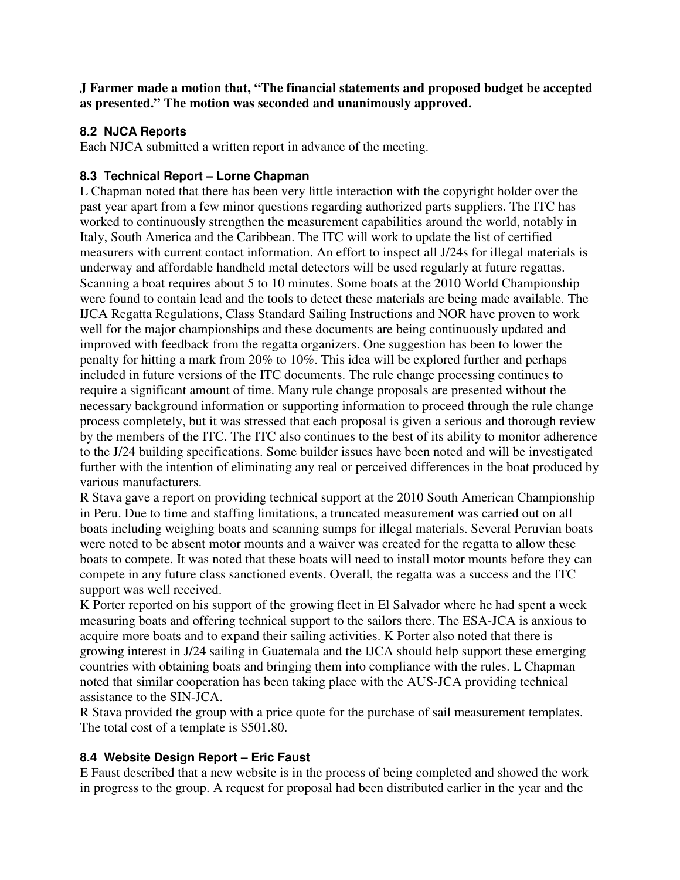**J Farmer made a motion that, "The financial statements and proposed budget be accepted as presented." The motion was seconded and unanimously approved.** 

#### **8.2 NJCA Reports**

Each NJCA submitted a written report in advance of the meeting.

#### **8.3 Technical Report – Lorne Chapman**

L Chapman noted that there has been very little interaction with the copyright holder over the past year apart from a few minor questions regarding authorized parts suppliers. The ITC has worked to continuously strengthen the measurement capabilities around the world, notably in Italy, South America and the Caribbean. The ITC will work to update the list of certified measurers with current contact information. An effort to inspect all J/24s for illegal materials is underway and affordable handheld metal detectors will be used regularly at future regattas. Scanning a boat requires about 5 to 10 minutes. Some boats at the 2010 World Championship were found to contain lead and the tools to detect these materials are being made available. The IJCA Regatta Regulations, Class Standard Sailing Instructions and NOR have proven to work well for the major championships and these documents are being continuously updated and improved with feedback from the regatta organizers. One suggestion has been to lower the penalty for hitting a mark from 20% to 10%. This idea will be explored further and perhaps included in future versions of the ITC documents. The rule change processing continues to require a significant amount of time. Many rule change proposals are presented without the necessary background information or supporting information to proceed through the rule change process completely, but it was stressed that each proposal is given a serious and thorough review by the members of the ITC. The ITC also continues to the best of its ability to monitor adherence to the J/24 building specifications. Some builder issues have been noted and will be investigated further with the intention of eliminating any real or perceived differences in the boat produced by various manufacturers.

R Stava gave a report on providing technical support at the 2010 South American Championship in Peru. Due to time and staffing limitations, a truncated measurement was carried out on all boats including weighing boats and scanning sumps for illegal materials. Several Peruvian boats were noted to be absent motor mounts and a waiver was created for the regatta to allow these boats to compete. It was noted that these boats will need to install motor mounts before they can compete in any future class sanctioned events. Overall, the regatta was a success and the ITC support was well received.

K Porter reported on his support of the growing fleet in El Salvador where he had spent a week measuring boats and offering technical support to the sailors there. The ESA-JCA is anxious to acquire more boats and to expand their sailing activities. K Porter also noted that there is growing interest in J/24 sailing in Guatemala and the IJCA should help support these emerging countries with obtaining boats and bringing them into compliance with the rules. L Chapman noted that similar cooperation has been taking place with the AUS-JCA providing technical assistance to the SIN-JCA.

R Stava provided the group with a price quote for the purchase of sail measurement templates. The total cost of a template is \$501.80.

#### **8.4 Website Design Report – Eric Faust**

E Faust described that a new website is in the process of being completed and showed the work in progress to the group. A request for proposal had been distributed earlier in the year and the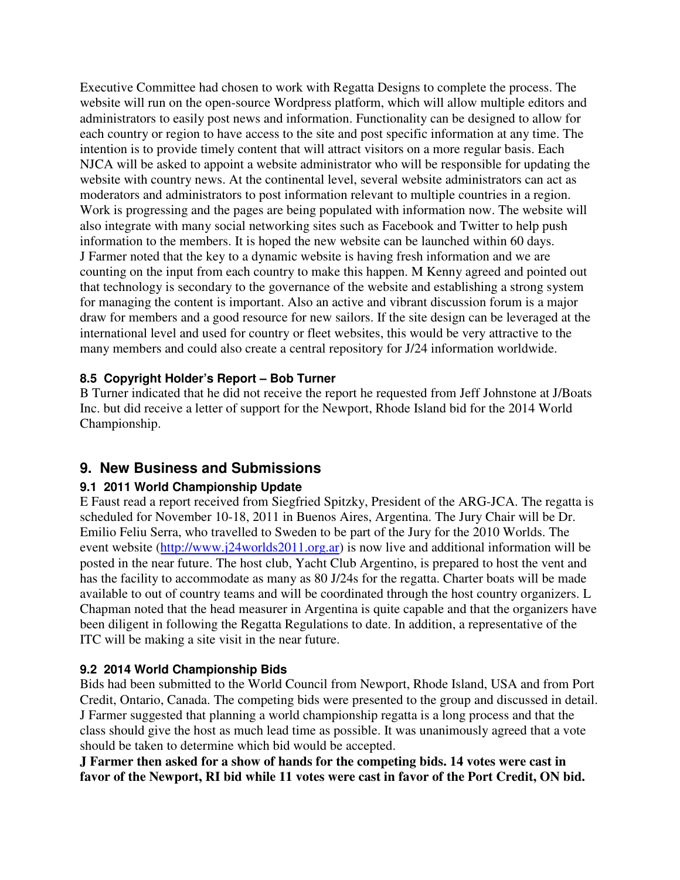Executive Committee had chosen to work with Regatta Designs to complete the process. The website will run on the open-source Wordpress platform, which will allow multiple editors and administrators to easily post news and information. Functionality can be designed to allow for each country or region to have access to the site and post specific information at any time. The intention is to provide timely content that will attract visitors on a more regular basis. Each NJCA will be asked to appoint a website administrator who will be responsible for updating the website with country news. At the continental level, several website administrators can act as moderators and administrators to post information relevant to multiple countries in a region. Work is progressing and the pages are being populated with information now. The website will also integrate with many social networking sites such as Facebook and Twitter to help push information to the members. It is hoped the new website can be launched within 60 days. J Farmer noted that the key to a dynamic website is having fresh information and we are counting on the input from each country to make this happen. M Kenny agreed and pointed out that technology is secondary to the governance of the website and establishing a strong system for managing the content is important. Also an active and vibrant discussion forum is a major draw for members and a good resource for new sailors. If the site design can be leveraged at the international level and used for country or fleet websites, this would be very attractive to the many members and could also create a central repository for J/24 information worldwide.

#### **8.5 Copyright Holder's Report – Bob Turner**

B Turner indicated that he did not receive the report he requested from Jeff Johnstone at J/Boats Inc. but did receive a letter of support for the Newport, Rhode Island bid for the 2014 World Championship.

### **9. New Business and Submissions**

#### **9.1 2011 World Championship Update**

E Faust read a report received from Siegfried Spitzky, President of the ARG-JCA. The regatta is scheduled for November 10-18, 2011 in Buenos Aires, Argentina. The Jury Chair will be Dr. Emilio Feliu Serra, who travelled to Sweden to be part of the Jury for the 2010 Worlds. The event website (http://www.j24worlds2011.org.ar) is now live and additional information will be posted in the near future. The host club, Yacht Club Argentino, is prepared to host the vent and has the facility to accommodate as many as 80 J/24s for the regatta. Charter boats will be made available to out of country teams and will be coordinated through the host country organizers. L Chapman noted that the head measurer in Argentina is quite capable and that the organizers have been diligent in following the Regatta Regulations to date. In addition, a representative of the ITC will be making a site visit in the near future.

#### **9.2 2014 World Championship Bids**

Bids had been submitted to the World Council from Newport, Rhode Island, USA and from Port Credit, Ontario, Canada. The competing bids were presented to the group and discussed in detail. J Farmer suggested that planning a world championship regatta is a long process and that the class should give the host as much lead time as possible. It was unanimously agreed that a vote should be taken to determine which bid would be accepted.

**J Farmer then asked for a show of hands for the competing bids. 14 votes were cast in favor of the Newport, RI bid while 11 votes were cast in favor of the Port Credit, ON bid.**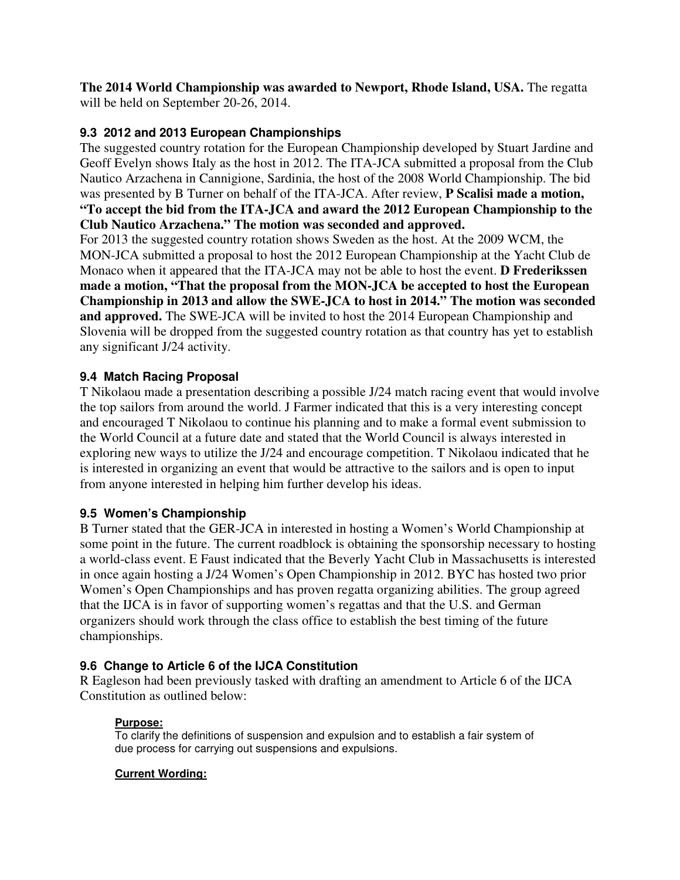**The 2014 World Championship was awarded to Newport, Rhode Island, USA.** The regatta will be held on September 20-26, 2014.

#### **9.3 2012 and 2013 European Championships**

The suggested country rotation for the European Championship developed by Stuart Jardine and Geoff Evelyn shows Italy as the host in 2012. The ITA-JCA submitted a proposal from the Club Nautico Arzachena in Cannigione, Sardinia, the host of the 2008 World Championship. The bid was presented by B Turner on behalf of the ITA-JCA. After review, **P Scalisi made a motion, "To accept the bid from the ITA-JCA and award the 2012 European Championship to the Club Nautico Arzachena." The motion was seconded and approved.**

For 2013 the suggested country rotation shows Sweden as the host. At the 2009 WCM, the MON-JCA submitted a proposal to host the 2012 European Championship at the Yacht Club de Monaco when it appeared that the ITA-JCA may not be able to host the event. **D Frederikssen made a motion, "That the proposal from the MON-JCA be accepted to host the European Championship in 2013 and allow the SWE-JCA to host in 2014." The motion was seconded and approved.** The SWE-JCA will be invited to host the 2014 European Championship and Slovenia will be dropped from the suggested country rotation as that country has yet to establish any significant J/24 activity.

#### **9.4 Match Racing Proposal**

T Nikolaou made a presentation describing a possible J/24 match racing event that would involve the top sailors from around the world. J Farmer indicated that this is a very interesting concept and encouraged T Nikolaou to continue his planning and to make a formal event submission to the World Council at a future date and stated that the World Council is always interested in exploring new ways to utilize the J/24 and encourage competition. T Nikolaou indicated that he is interested in organizing an event that would be attractive to the sailors and is open to input from anyone interested in helping him further develop his ideas.

#### **9.5 Women's Championship**

B Turner stated that the GER-JCA in interested in hosting a Women's World Championship at some point in the future. The current roadblock is obtaining the sponsorship necessary to hosting a world-class event. E Faust indicated that the Beverly Yacht Club in Massachusetts is interested in once again hosting a J/24 Women's Open Championship in 2012. BYC has hosted two prior Women's Open Championships and has proven regatta organizing abilities. The group agreed that the IJCA is in favor of supporting women's regattas and that the U.S. and German organizers should work through the class office to establish the best timing of the future championships.

#### **9.6 Change to Article 6 of the IJCA Constitution**

R Eagleson had been previously tasked with drafting an amendment to Article 6 of the IJCA Constitution as outlined below:

#### **Purpose:**

To clarify the definitions of suspension and expulsion and to establish a fair system of due process for carrying out suspensions and expulsions.

#### **Current Wording:**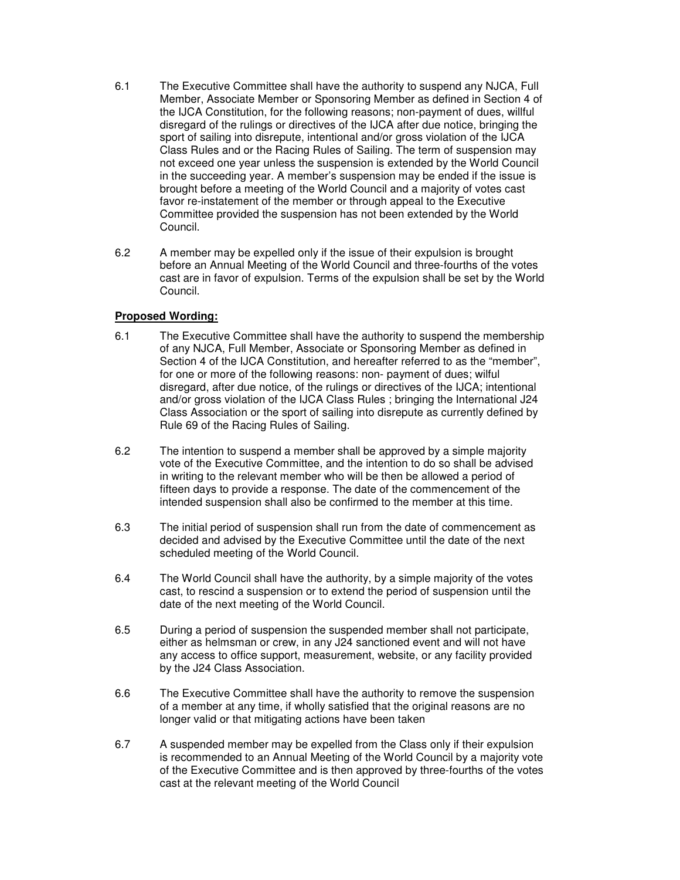- 6.1 The Executive Committee shall have the authority to suspend any NJCA, Full Member, Associate Member or Sponsoring Member as defined in Section 4 of the IJCA Constitution, for the following reasons; non-payment of dues, willful disregard of the rulings or directives of the IJCA after due notice, bringing the sport of sailing into disrepute, intentional and/or gross violation of the IJCA Class Rules and or the Racing Rules of Sailing. The term of suspension may not exceed one year unless the suspension is extended by the World Council in the succeeding year. A member's suspension may be ended if the issue is brought before a meeting of the World Council and a majority of votes cast favor re-instatement of the member or through appeal to the Executive Committee provided the suspension has not been extended by the World Council.
- 6.2 A member may be expelled only if the issue of their expulsion is brought before an Annual Meeting of the World Council and three-fourths of the votes cast are in favor of expulsion. Terms of the expulsion shall be set by the World Council.

#### **Proposed Wording:**

- 6.1 The Executive Committee shall have the authority to suspend the membership of any NJCA, Full Member, Associate or Sponsoring Member as defined in Section 4 of the IJCA Constitution, and hereafter referred to as the "member", for one or more of the following reasons: non- payment of dues; wilful disregard, after due notice, of the rulings or directives of the IJCA; intentional and/or gross violation of the IJCA Class Rules ; bringing the International J24 Class Association or the sport of sailing into disrepute as currently defined by Rule 69 of the Racing Rules of Sailing.
- 6.2 The intention to suspend a member shall be approved by a simple majority vote of the Executive Committee, and the intention to do so shall be advised in writing to the relevant member who will be then be allowed a period of fifteen days to provide a response. The date of the commencement of the intended suspension shall also be confirmed to the member at this time.
- 6.3 The initial period of suspension shall run from the date of commencement as decided and advised by the Executive Committee until the date of the next scheduled meeting of the World Council.
- 6.4 The World Council shall have the authority, by a simple majority of the votes cast, to rescind a suspension or to extend the period of suspension until the date of the next meeting of the World Council.
- 6.5 During a period of suspension the suspended member shall not participate, either as helmsman or crew, in any J24 sanctioned event and will not have any access to office support, measurement, website, or any facility provided by the J24 Class Association.
- 6.6 The Executive Committee shall have the authority to remove the suspension of a member at any time, if wholly satisfied that the original reasons are no longer valid or that mitigating actions have been taken
- 6.7 A suspended member may be expelled from the Class only if their expulsion is recommended to an Annual Meeting of the World Council by a majority vote of the Executive Committee and is then approved by three-fourths of the votes cast at the relevant meeting of the World Council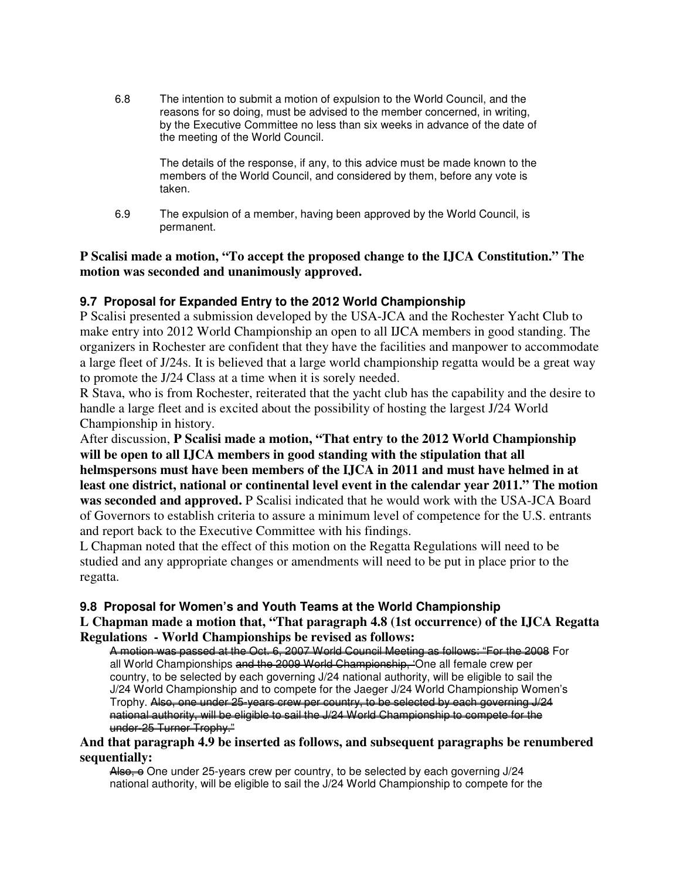6.8 The intention to submit a motion of expulsion to the World Council, and the reasons for so doing, must be advised to the member concerned, in writing, by the Executive Committee no less than six weeks in advance of the date of the meeting of the World Council.

> The details of the response, if any, to this advice must be made known to the members of the World Council, and considered by them, before any vote is taken.

6.9 The expulsion of a member, having been approved by the World Council, is permanent.

#### **P Scalisi made a motion, "To accept the proposed change to the IJCA Constitution." The motion was seconded and unanimously approved.**

#### **9.7 Proposal for Expanded Entry to the 2012 World Championship**

P Scalisi presented a submission developed by the USA-JCA and the Rochester Yacht Club to make entry into 2012 World Championship an open to all IJCA members in good standing. The organizers in Rochester are confident that they have the facilities and manpower to accommodate a large fleet of J/24s. It is believed that a large world championship regatta would be a great way to promote the J/24 Class at a time when it is sorely needed.

R Stava, who is from Rochester, reiterated that the yacht club has the capability and the desire to handle a large fleet and is excited about the possibility of hosting the largest J/24 World Championship in history.

After discussion, **P Scalisi made a motion, "That entry to the 2012 World Championship will be open to all IJCA members in good standing with the stipulation that all helmspersons must have been members of the IJCA in 2011 and must have helmed in at least one district, national or continental level event in the calendar year 2011." The motion was seconded and approved.** P Scalisi indicated that he would work with the USA-JCA Board of Governors to establish criteria to assure a minimum level of competence for the U.S. entrants and report back to the Executive Committee with his findings.

L Chapman noted that the effect of this motion on the Regatta Regulations will need to be studied and any appropriate changes or amendments will need to be put in place prior to the regatta.

#### **9.8 Proposal for Women's and Youth Teams at the World Championship**

#### **L Chapman made a motion that, "That paragraph 4.8 (1st occurrence) of the IJCA Regatta Regulations - World Championships be revised as follows:**

A motion was passed at the Oct. 6, 2007 World Council Meeting as follows: "For the 2008 For all World Championships and the 2009 World Championship, 'One all female crew per country, to be selected by each governing J/24 national authority, will be eligible to sail the J/24 World Championship and to compete for the Jaeger J/24 World Championship Women's Trophy. Also, one under 25-years crew per country, to be selected by each governing J/24 national authority, will be eligible to sail the J/24 World Championship to compete for the under-25 Turner Trophy."

#### **And that paragraph 4.9 be inserted as follows, and subsequent paragraphs be renumbered sequentially:**

Also, o One under 25-years crew per country, to be selected by each governing J/24 national authority, will be eligible to sail the J/24 World Championship to compete for the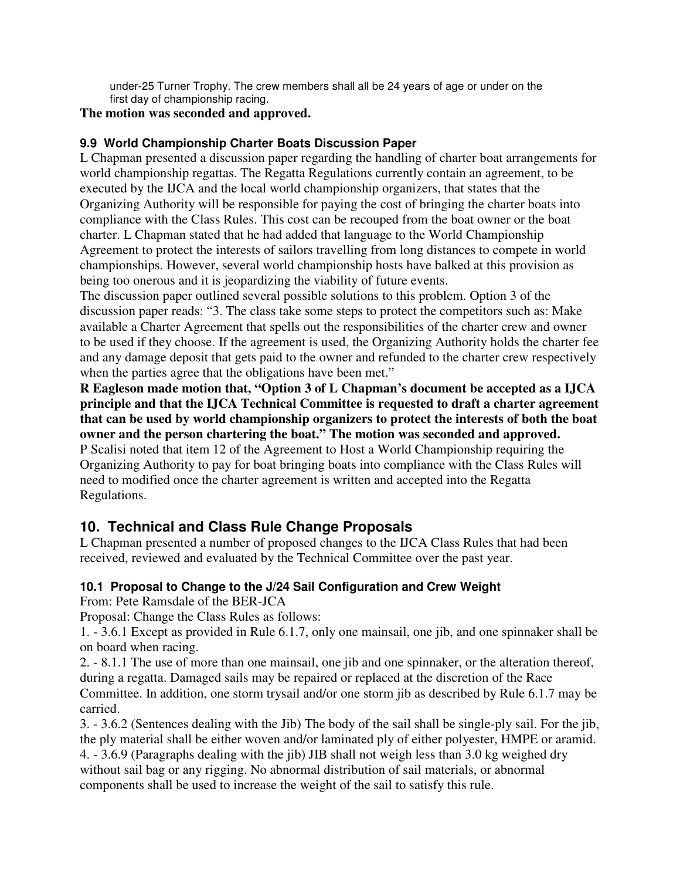under-25 Turner Trophy. The crew members shall all be 24 years of age or under on the first day of championship racing.

#### **The motion was seconded and approved.**

#### **9.9 World Championship Charter Boats Discussion Paper**

L Chapman presented a discussion paper regarding the handling of charter boat arrangements for world championship regattas. The Regatta Regulations currently contain an agreement, to be executed by the IJCA and the local world championship organizers, that states that the Organizing Authority will be responsible for paying the cost of bringing the charter boats into compliance with the Class Rules. This cost can be recouped from the boat owner or the boat charter. L Chapman stated that he had added that language to the World Championship Agreement to protect the interests of sailors travelling from long distances to compete in world championships. However, several world championship hosts have balked at this provision as being too onerous and it is jeopardizing the viability of future events.

The discussion paper outlined several possible solutions to this problem. Option 3 of the discussion paper reads: "3. The class take some steps to protect the competitors such as: Make available a Charter Agreement that spells out the responsibilities of the charter crew and owner to be used if they choose. If the agreement is used, the Organizing Authority holds the charter fee and any damage deposit that gets paid to the owner and refunded to the charter crew respectively when the parties agree that the obligations have been met."

**R Eagleson made motion that, "Option 3 of L Chapman's document be accepted as a IJCA principle and that the IJCA Technical Committee is requested to draft a charter agreement that can be used by world championship organizers to protect the interests of both the boat owner and the person chartering the boat." The motion was seconded and approved.**  P Scalisi noted that item 12 of the Agreement to Host a World Championship requiring the Organizing Authority to pay for boat bringing boats into compliance with the Class Rules will

need to modified once the charter agreement is written and accepted into the Regatta Regulations.

### **10. Technical and Class Rule Change Proposals**

L Chapman presented a number of proposed changes to the IJCA Class Rules that had been received, reviewed and evaluated by the Technical Committee over the past year.

#### **10.1 Proposal to Change to the J/24 Sail Configuration and Crew Weight**

From: Pete Ramsdale of the BER-JCA

Proposal: Change the Class Rules as follows:

1. - 3.6.1 Except as provided in Rule 6.1.7, only one mainsail, one jib, and one spinnaker shall be on board when racing.

2. - 8.1.1 The use of more than one mainsail, one jib and one spinnaker, or the alteration thereof, during a regatta. Damaged sails may be repaired or replaced at the discretion of the Race Committee. In addition, one storm trysail and/or one storm jib as described by Rule 6.1.7 may be carried.

3. - 3.6.2 (Sentences dealing with the Jib) The body of the sail shall be single-ply sail. For the jib, the ply material shall be either woven and/or laminated ply of either polyester, HMPE or aramid. 4. - 3.6.9 (Paragraphs dealing with the jib) JIB shall not weigh less than 3.0 kg weighed dry without sail bag or any rigging. No abnormal distribution of sail materials, or abnormal components shall be used to increase the weight of the sail to satisfy this rule.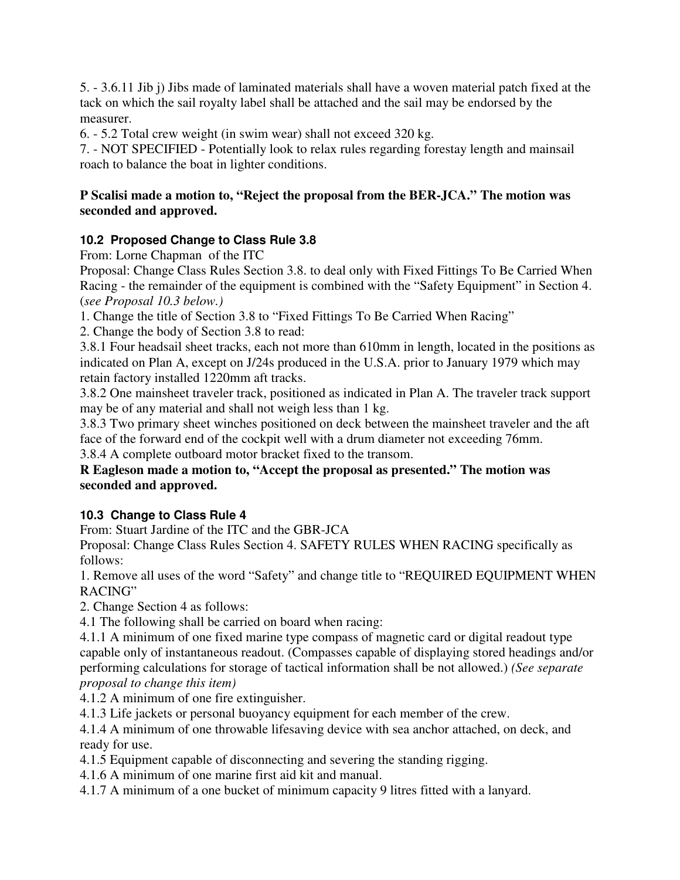5. - 3.6.11 Jib j) Jibs made of laminated materials shall have a woven material patch fixed at the tack on which the sail royalty label shall be attached and the sail may be endorsed by the measurer.

6. - 5.2 Total crew weight (in swim wear) shall not exceed 320 kg.

7. - NOT SPECIFIED - Potentially look to relax rules regarding forestay length and mainsail roach to balance the boat in lighter conditions.

#### **P Scalisi made a motion to, "Reject the proposal from the BER-JCA." The motion was seconded and approved.**

### **10.2 Proposed Change to Class Rule 3.8**

From: Lorne Chapman of the ITC

Proposal: Change Class Rules Section 3.8. to deal only with Fixed Fittings To Be Carried When Racing - the remainder of the equipment is combined with the "Safety Equipment" in Section 4. (*see Proposal 10.3 below.)*

1. Change the title of Section 3.8 to "Fixed Fittings To Be Carried When Racing"

2. Change the body of Section 3.8 to read:

3.8.1 Four headsail sheet tracks, each not more than 610mm in length, located in the positions as indicated on Plan A, except on J/24s produced in the U.S.A. prior to January 1979 which may retain factory installed 1220mm aft tracks.

3.8.2 One mainsheet traveler track, positioned as indicated in Plan A. The traveler track support may be of any material and shall not weigh less than 1 kg.

3.8.3 Two primary sheet winches positioned on deck between the mainsheet traveler and the aft face of the forward end of the cockpit well with a drum diameter not exceeding 76mm. 3.8.4 A complete outboard motor bracket fixed to the transom.

#### **R Eagleson made a motion to, "Accept the proposal as presented." The motion was seconded and approved.**

### **10.3 Change to Class Rule 4**

From: Stuart Jardine of the ITC and the GBR-JCA

Proposal: Change Class Rules Section 4. SAFETY RULES WHEN RACING specifically as follows:

1. Remove all uses of the word "Safety" and change title to "REQUIRED EQUIPMENT WHEN RACING"

2. Change Section 4 as follows:

4.1 The following shall be carried on board when racing:

4.1.1 A minimum of one fixed marine type compass of magnetic card or digital readout type capable only of instantaneous readout. (Compasses capable of displaying stored headings and/or performing calculations for storage of tactical information shall be not allowed.) *(See separate proposal to change this item)*

4.1.2 A minimum of one fire extinguisher.

4.1.3 Life jackets or personal buoyancy equipment for each member of the crew.

4.1.4 A minimum of one throwable lifesaving device with sea anchor attached, on deck, and ready for use.

4.1.5 Equipment capable of disconnecting and severing the standing rigging.

4.1.6 A minimum of one marine first aid kit and manual.

4.1.7 A minimum of a one bucket of minimum capacity 9 litres fitted with a lanyard.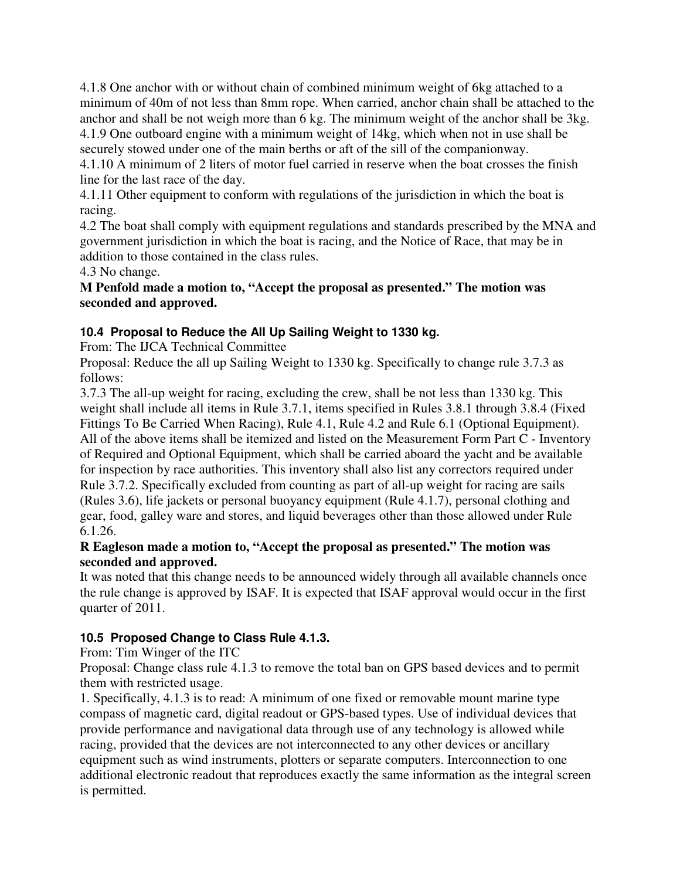4.1.8 One anchor with or without chain of combined minimum weight of 6kg attached to a minimum of 40m of not less than 8mm rope. When carried, anchor chain shall be attached to the anchor and shall be not weigh more than 6 kg. The minimum weight of the anchor shall be 3kg. 4.1.9 One outboard engine with a minimum weight of 14kg, which when not in use shall be securely stowed under one of the main berths or aft of the sill of the companionway.

4.1.10 A minimum of 2 liters of motor fuel carried in reserve when the boat crosses the finish line for the last race of the day.

4.1.11 Other equipment to conform with regulations of the jurisdiction in which the boat is racing.

4.2 The boat shall comply with equipment regulations and standards prescribed by the MNA and government jurisdiction in which the boat is racing, and the Notice of Race, that may be in addition to those contained in the class rules.

4.3 No change.

**M Penfold made a motion to, "Accept the proposal as presented." The motion was seconded and approved.** 

#### **10.4 Proposal to Reduce the All Up Sailing Weight to 1330 kg.**

From: The IJCA Technical Committee

Proposal: Reduce the all up Sailing Weight to 1330 kg. Specifically to change rule 3.7.3 as follows:

3.7.3 The all-up weight for racing, excluding the crew, shall be not less than 1330 kg. This weight shall include all items in Rule 3.7.1, items specified in Rules 3.8.1 through 3.8.4 (Fixed Fittings To Be Carried When Racing), Rule 4.1, Rule 4.2 and Rule 6.1 (Optional Equipment). All of the above items shall be itemized and listed on the Measurement Form Part C - Inventory of Required and Optional Equipment, which shall be carried aboard the yacht and be available for inspection by race authorities. This inventory shall also list any correctors required under Rule 3.7.2. Specifically excluded from counting as part of all-up weight for racing are sails (Rules 3.6), life jackets or personal buoyancy equipment (Rule 4.1.7), personal clothing and gear, food, galley ware and stores, and liquid beverages other than those allowed under Rule 6.1.26.

#### **R Eagleson made a motion to, "Accept the proposal as presented." The motion was seconded and approved.**

It was noted that this change needs to be announced widely through all available channels once the rule change is approved by ISAF. It is expected that ISAF approval would occur in the first quarter of 2011.

#### **10.5 Proposed Change to Class Rule 4.1.3.**

From: Tim Winger of the ITC

Proposal: Change class rule 4.1.3 to remove the total ban on GPS based devices and to permit them with restricted usage.

1. Specifically, 4.1.3 is to read: A minimum of one fixed or removable mount marine type compass of magnetic card, digital readout or GPS-based types. Use of individual devices that provide performance and navigational data through use of any technology is allowed while racing, provided that the devices are not interconnected to any other devices or ancillary equipment such as wind instruments, plotters or separate computers. Interconnection to one additional electronic readout that reproduces exactly the same information as the integral screen is permitted.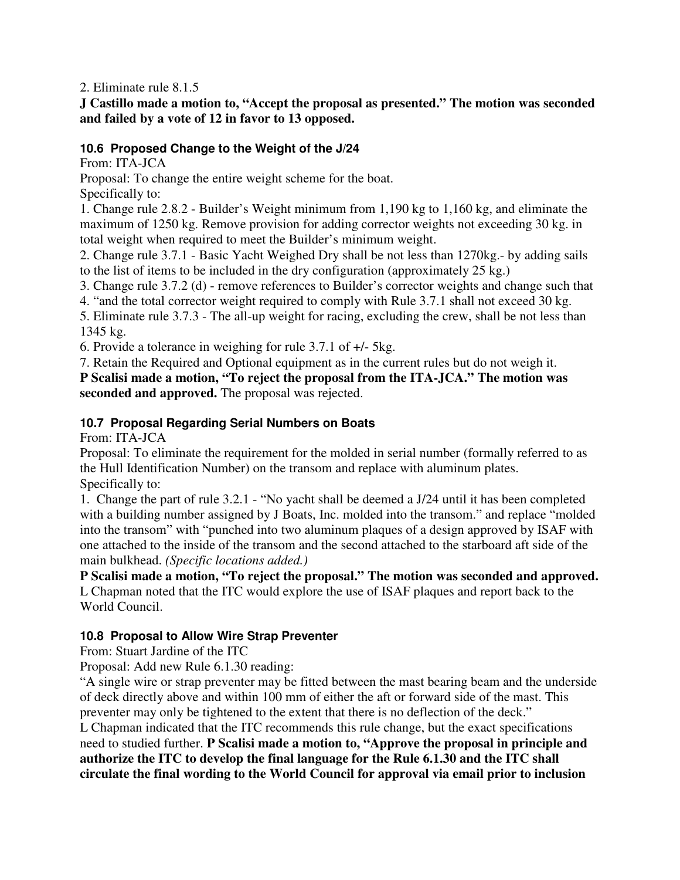2. Eliminate rule 8.1.5

#### **J Castillo made a motion to, "Accept the proposal as presented." The motion was seconded and failed by a vote of 12 in favor to 13 opposed.**

#### **10.6 Proposed Change to the Weight of the J/24**

From: ITA-JCA

Proposal: To change the entire weight scheme for the boat.

Specifically to:

1. Change rule 2.8.2 - Builder's Weight minimum from 1,190 kg to 1,160 kg, and eliminate the maximum of 1250 kg. Remove provision for adding corrector weights not exceeding 30 kg. in total weight when required to meet the Builder's minimum weight.

2. Change rule 3.7.1 - Basic Yacht Weighed Dry shall be not less than 1270kg.- by adding sails to the list of items to be included in the dry configuration (approximately 25 kg.)

3. Change rule 3.7.2 (d) - remove references to Builder's corrector weights and change such that

4. "and the total corrector weight required to comply with Rule 3.7.1 shall not exceed 30 kg.

5. Eliminate rule 3.7.3 - The all-up weight for racing, excluding the crew, shall be not less than 1345 kg.

6. Provide a tolerance in weighing for rule 3.7.1 of +/- 5kg.

7. Retain the Required and Optional equipment as in the current rules but do not weigh it.

**P Scalisi made a motion, "To reject the proposal from the ITA-JCA." The motion was seconded and approved.** The proposal was rejected.

#### **10.7 Proposal Regarding Serial Numbers on Boats**

From: ITA-JCA

Proposal: To eliminate the requirement for the molded in serial number (formally referred to as the Hull Identification Number) on the transom and replace with aluminum plates. Specifically to:

1. Change the part of rule 3.2.1 - "No yacht shall be deemed a J/24 until it has been completed with a building number assigned by J Boats, Inc. molded into the transom." and replace "molded into the transom" with "punched into two aluminum plaques of a design approved by ISAF with one attached to the inside of the transom and the second attached to the starboard aft side of the main bulkhead. *(Specific locations added.)* 

**P Scalisi made a motion, "To reject the proposal." The motion was seconded and approved.**  L Chapman noted that the ITC would explore the use of ISAF plaques and report back to the World Council.

#### **10.8 Proposal to Allow Wire Strap Preventer**

From: Stuart Jardine of the ITC

Proposal: Add new Rule 6.1.30 reading:

"A single wire or strap preventer may be fitted between the mast bearing beam and the underside of deck directly above and within 100 mm of either the aft or forward side of the mast. This preventer may only be tightened to the extent that there is no deflection of the deck." L Chapman indicated that the ITC recommends this rule change, but the exact specifications need to studied further. **P Scalisi made a motion to, "Approve the proposal in principle and authorize the ITC to develop the final language for the Rule 6.1.30 and the ITC shall circulate the final wording to the World Council for approval via email prior to inclusion**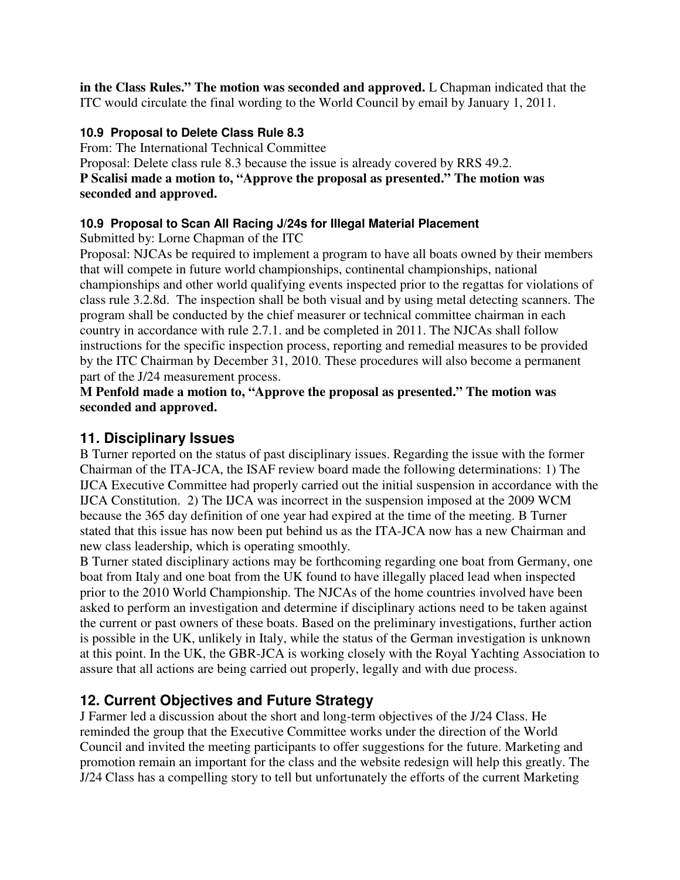**in the Class Rules." The motion was seconded and approved.** L Chapman indicated that the ITC would circulate the final wording to the World Council by email by January 1, 2011.

### **10.9 Proposal to Delete Class Rule 8.3**

From: The International Technical Committee Proposal: Delete class rule 8.3 because the issue is already covered by RRS 49.2. **P Scalisi made a motion to, "Approve the proposal as presented." The motion was seconded and approved.** 

### **10.9 Proposal to Scan All Racing J/24s for Illegal Material Placement**

Submitted by: Lorne Chapman of the ITC

Proposal: NJCAs be required to implement a program to have all boats owned by their members that will compete in future world championships, continental championships, national championships and other world qualifying events inspected prior to the regattas for violations of class rule 3.2.8d. The inspection shall be both visual and by using metal detecting scanners. The program shall be conducted by the chief measurer or technical committee chairman in each country in accordance with rule 2.7.1. and be completed in 2011. The NJCAs shall follow instructions for the specific inspection process, reporting and remedial measures to be provided by the ITC Chairman by December 31, 2010. These procedures will also become a permanent part of the J/24 measurement process.

#### **M Penfold made a motion to, "Approve the proposal as presented." The motion was seconded and approved.**

### **11. Disciplinary Issues**

B Turner reported on the status of past disciplinary issues. Regarding the issue with the former Chairman of the ITA-JCA, the ISAF review board made the following determinations: 1) The IJCA Executive Committee had properly carried out the initial suspension in accordance with the IJCA Constitution. 2) The IJCA was incorrect in the suspension imposed at the 2009 WCM because the 365 day definition of one year had expired at the time of the meeting. B Turner stated that this issue has now been put behind us as the ITA-JCA now has a new Chairman and new class leadership, which is operating smoothly.

B Turner stated disciplinary actions may be forthcoming regarding one boat from Germany, one boat from Italy and one boat from the UK found to have illegally placed lead when inspected prior to the 2010 World Championship. The NJCAs of the home countries involved have been asked to perform an investigation and determine if disciplinary actions need to be taken against the current or past owners of these boats. Based on the preliminary investigations, further action is possible in the UK, unlikely in Italy, while the status of the German investigation is unknown at this point. In the UK, the GBR-JCA is working closely with the Royal Yachting Association to assure that all actions are being carried out properly, legally and with due process.

# **12. Current Objectives and Future Strategy**

J Farmer led a discussion about the short and long-term objectives of the J/24 Class. He reminded the group that the Executive Committee works under the direction of the World Council and invited the meeting participants to offer suggestions for the future. Marketing and promotion remain an important for the class and the website redesign will help this greatly. The J/24 Class has a compelling story to tell but unfortunately the efforts of the current Marketing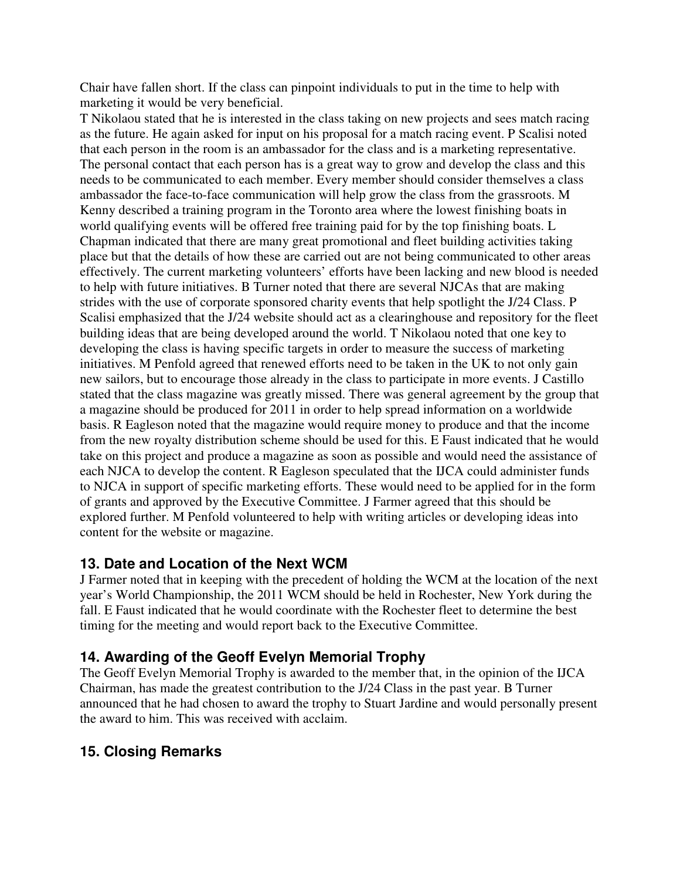Chair have fallen short. If the class can pinpoint individuals to put in the time to help with marketing it would be very beneficial.

T Nikolaou stated that he is interested in the class taking on new projects and sees match racing as the future. He again asked for input on his proposal for a match racing event. P Scalisi noted that each person in the room is an ambassador for the class and is a marketing representative. The personal contact that each person has is a great way to grow and develop the class and this needs to be communicated to each member. Every member should consider themselves a class ambassador the face-to-face communication will help grow the class from the grassroots. M Kenny described a training program in the Toronto area where the lowest finishing boats in world qualifying events will be offered free training paid for by the top finishing boats. L Chapman indicated that there are many great promotional and fleet building activities taking place but that the details of how these are carried out are not being communicated to other areas effectively. The current marketing volunteers' efforts have been lacking and new blood is needed to help with future initiatives. B Turner noted that there are several NJCAs that are making strides with the use of corporate sponsored charity events that help spotlight the J/24 Class. P Scalisi emphasized that the J/24 website should act as a clearinghouse and repository for the fleet building ideas that are being developed around the world. T Nikolaou noted that one key to developing the class is having specific targets in order to measure the success of marketing initiatives. M Penfold agreed that renewed efforts need to be taken in the UK to not only gain new sailors, but to encourage those already in the class to participate in more events. J Castillo stated that the class magazine was greatly missed. There was general agreement by the group that a magazine should be produced for 2011 in order to help spread information on a worldwide basis. R Eagleson noted that the magazine would require money to produce and that the income from the new royalty distribution scheme should be used for this. E Faust indicated that he would take on this project and produce a magazine as soon as possible and would need the assistance of each NJCA to develop the content. R Eagleson speculated that the IJCA could administer funds to NJCA in support of specific marketing efforts. These would need to be applied for in the form of grants and approved by the Executive Committee. J Farmer agreed that this should be explored further. M Penfold volunteered to help with writing articles or developing ideas into content for the website or magazine.

### **13. Date and Location of the Next WCM**

J Farmer noted that in keeping with the precedent of holding the WCM at the location of the next year's World Championship, the 2011 WCM should be held in Rochester, New York during the fall. E Faust indicated that he would coordinate with the Rochester fleet to determine the best timing for the meeting and would report back to the Executive Committee.

### **14. Awarding of the Geoff Evelyn Memorial Trophy**

The Geoff Evelyn Memorial Trophy is awarded to the member that, in the opinion of the IJCA Chairman, has made the greatest contribution to the J/24 Class in the past year. B Turner announced that he had chosen to award the trophy to Stuart Jardine and would personally present the award to him. This was received with acclaim.

# **15. Closing Remarks**